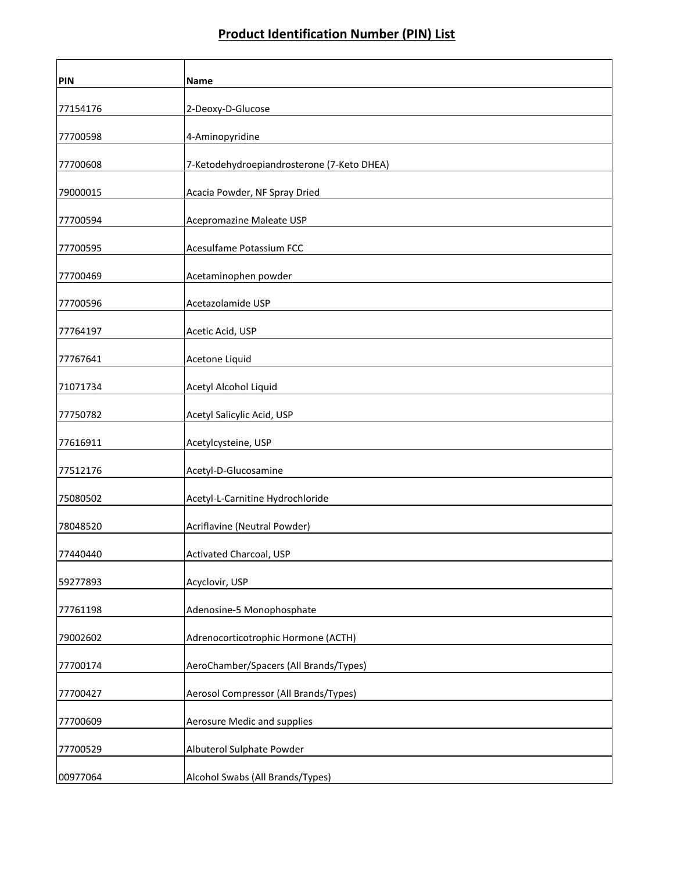| PIN      | Name                                       |
|----------|--------------------------------------------|
| 77154176 | 2-Deoxy-D-Glucose                          |
| 77700598 | 4-Aminopyridine                            |
| 77700608 | 7-Ketodehydroepiandrosterone (7-Keto DHEA) |
| 79000015 | Acacia Powder, NF Spray Dried              |
| 77700594 | Acepromazine Maleate USP                   |
| 77700595 | Acesulfame Potassium FCC                   |
| 77700469 | Acetaminophen powder                       |
| 77700596 | Acetazolamide USP                          |
| 77764197 | Acetic Acid, USP                           |
| 77767641 | Acetone Liquid                             |
| 71071734 | Acetyl Alcohol Liquid                      |
| 77750782 | Acetyl Salicylic Acid, USP                 |
| 77616911 | Acetylcysteine, USP                        |
| 77512176 | Acetyl-D-Glucosamine                       |
| 75080502 | Acetyl-L-Carnitine Hydrochloride           |
| 78048520 | Acriflavine (Neutral Powder)               |
| 77440440 | Activated Charcoal, USP                    |
| 59277893 | Acyclovir, USP                             |
| 77761198 | Adenosine-5 Monophosphate                  |
| 79002602 | Adrenocorticotrophic Hormone (ACTH)        |
| 77700174 | AeroChamber/Spacers (All Brands/Types)     |
| 77700427 | Aerosol Compressor (All Brands/Types)      |
| 77700609 | Aerosure Medic and supplies                |
| 77700529 | Albuterol Sulphate Powder                  |
| 00977064 | Alcohol Swabs (All Brands/Types)           |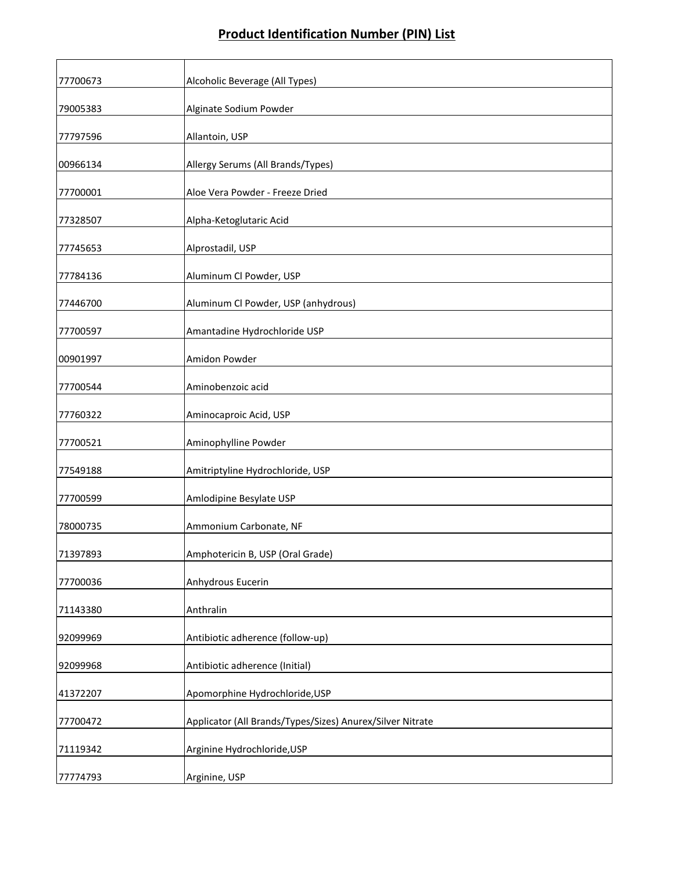| 77700673 | Alcoholic Beverage (All Types)                            |
|----------|-----------------------------------------------------------|
| 79005383 | Alginate Sodium Powder                                    |
| 77797596 | Allantoin, USP                                            |
| 00966134 | Allergy Serums (All Brands/Types)                         |
| 77700001 | Aloe Vera Powder - Freeze Dried                           |
| 77328507 | Alpha-Ketoglutaric Acid                                   |
| 77745653 | Alprostadil, USP                                          |
| 77784136 | Aluminum Cl Powder, USP                                   |
| 77446700 | Aluminum Cl Powder, USP (anhydrous)                       |
| 77700597 | Amantadine Hydrochloride USP                              |
| 00901997 | Amidon Powder                                             |
| 77700544 | Aminobenzoic acid                                         |
| 77760322 | Aminocaproic Acid, USP                                    |
| 77700521 | Aminophylline Powder                                      |
| 77549188 | Amitriptyline Hydrochloride, USP                          |
| 77700599 | Amlodipine Besylate USP                                   |
| 78000735 | Ammonium Carbonate, NF                                    |
| 71397893 | Amphotericin B, USP (Oral Grade)                          |
| 77700036 | Anhydrous Eucerin                                         |
| 71143380 | Anthralin                                                 |
| 92099969 | Antibiotic adherence (follow-up)                          |
| 92099968 | Antibiotic adherence (Initial)                            |
| 41372207 | Apomorphine Hydrochloride, USP                            |
| 77700472 | Applicator (All Brands/Types/Sizes) Anurex/Silver Nitrate |
| 71119342 | Arginine Hydrochloride, USP                               |
| 77774793 | Arginine, USP                                             |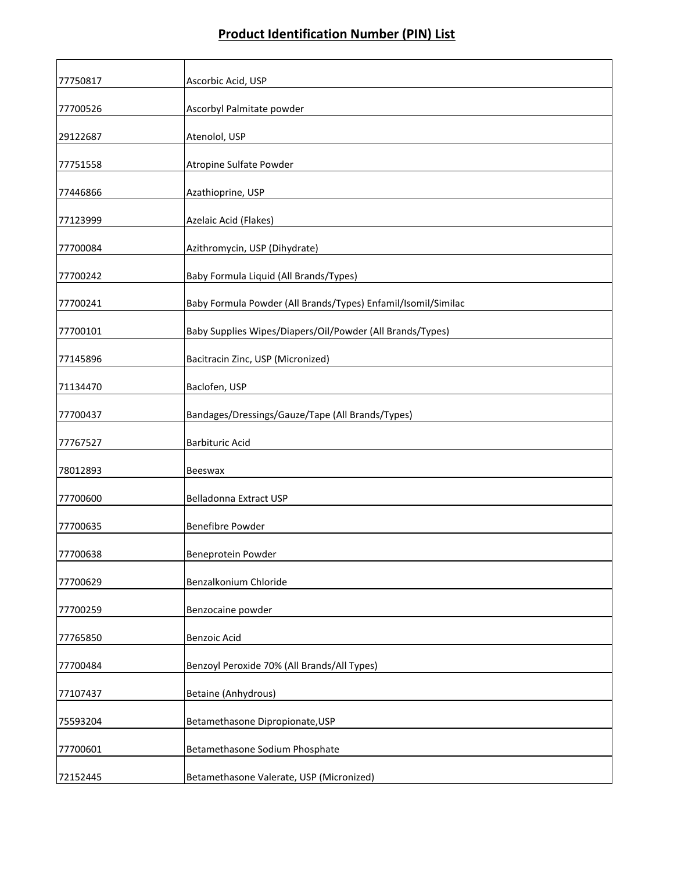| 77750817 | Ascorbic Acid, USP                                            |
|----------|---------------------------------------------------------------|
| 77700526 | Ascorbyl Palmitate powder                                     |
| 29122687 | Atenolol, USP                                                 |
| 77751558 | Atropine Sulfate Powder                                       |
| 77446866 | Azathioprine, USP                                             |
| 77123999 | Azelaic Acid (Flakes)                                         |
| 77700084 | Azithromycin, USP (Dihydrate)                                 |
| 77700242 | Baby Formula Liquid (All Brands/Types)                        |
| 77700241 | Baby Formula Powder (All Brands/Types) Enfamil/Isomil/Similac |
| 77700101 | Baby Supplies Wipes/Diapers/Oil/Powder (All Brands/Types)     |
| 77145896 | Bacitracin Zinc, USP (Micronized)                             |
| 71134470 | Baclofen, USP                                                 |
| 77700437 | Bandages/Dressings/Gauze/Tape (All Brands/Types)              |
| 77767527 | <b>Barbituric Acid</b>                                        |
| 78012893 | Beeswax                                                       |
| 77700600 | Belladonna Extract USP                                        |
| 77700635 | <b>Benefibre Powder</b>                                       |
| 77700638 | Beneprotein Powder                                            |
| 77700629 | Benzalkonium Chloride                                         |
| 77700259 | Benzocaine powder                                             |
| 77765850 | Benzoic Acid                                                  |
| 77700484 | Benzoyl Peroxide 70% (All Brands/All Types)                   |
| 77107437 | Betaine (Anhydrous)                                           |
| 75593204 | Betamethasone Dipropionate, USP                               |
| 77700601 | Betamethasone Sodium Phosphate                                |
| 72152445 | Betamethasone Valerate, USP (Micronized)                      |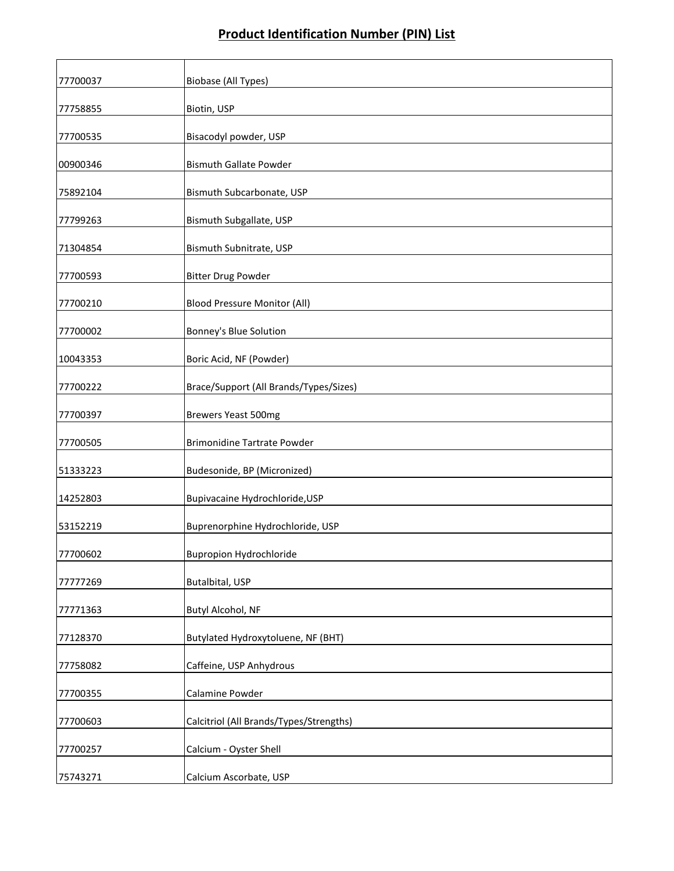| 77700037 | Biobase (All Types)                     |
|----------|-----------------------------------------|
| 77758855 | Biotin, USP                             |
| 77700535 | Bisacodyl powder, USP                   |
| 00900346 | <b>Bismuth Gallate Powder</b>           |
| 75892104 | Bismuth Subcarbonate, USP               |
| 77799263 | Bismuth Subgallate, USP                 |
| 71304854 | Bismuth Subnitrate, USP                 |
| 77700593 | <b>Bitter Drug Powder</b>               |
| 77700210 | <b>Blood Pressure Monitor (All)</b>     |
| 77700002 | Bonney's Blue Solution                  |
| 10043353 | Boric Acid, NF (Powder)                 |
| 77700222 | Brace/Support (All Brands/Types/Sizes)  |
| 77700397 | Brewers Yeast 500mg                     |
| 77700505 | <b>Brimonidine Tartrate Powder</b>      |
| 51333223 | Budesonide, BP (Micronized)             |
| 14252803 | Bupivacaine Hydrochloride, USP          |
| 53152219 | Buprenorphine Hydrochloride, USP        |
| 77700602 | <b>Bupropion Hydrochloride</b>          |
| 77777269 | Butalbital, USP                         |
| 77771363 | Butyl Alcohol, NF                       |
| 77128370 | Butylated Hydroxytoluene, NF (BHT)      |
| 77758082 | Caffeine, USP Anhydrous                 |
| 77700355 | Calamine Powder                         |
| 77700603 | Calcitriol (All Brands/Types/Strengths) |
| 77700257 | Calcium - Oyster Shell                  |
| 75743271 | Calcium Ascorbate, USP                  |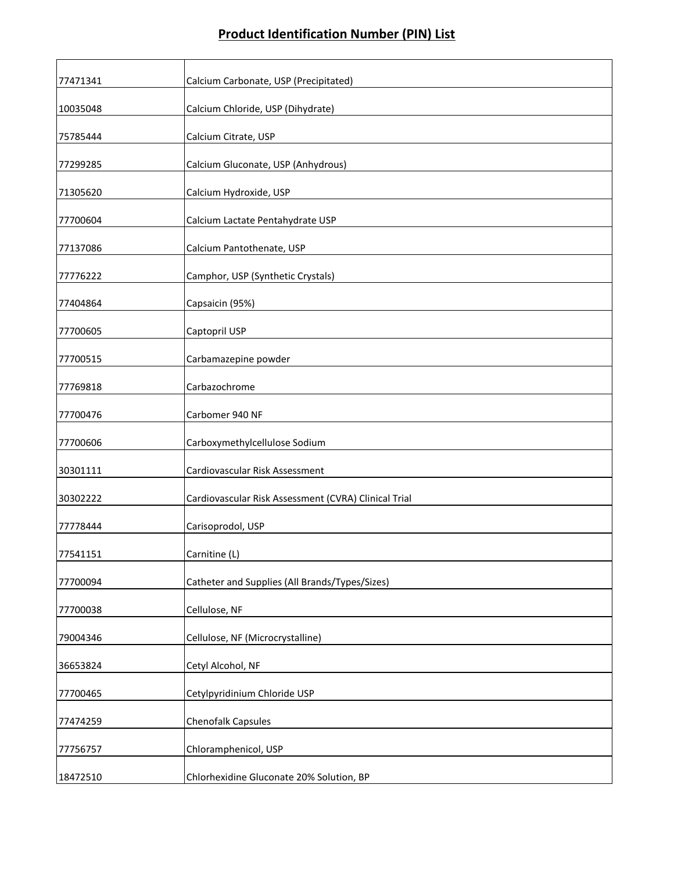| 77471341 | Calcium Carbonate, USP (Precipitated)                |
|----------|------------------------------------------------------|
| 10035048 | Calcium Chloride, USP (Dihydrate)                    |
| 75785444 | Calcium Citrate, USP                                 |
| 77299285 | Calcium Gluconate, USP (Anhydrous)                   |
| 71305620 | Calcium Hydroxide, USP                               |
| 77700604 | Calcium Lactate Pentahydrate USP                     |
| 77137086 | Calcium Pantothenate, USP                            |
| 77776222 | Camphor, USP (Synthetic Crystals)                    |
| 77404864 | Capsaicin (95%)                                      |
| 77700605 | Captopril USP                                        |
| 77700515 | Carbamazepine powder                                 |
| 77769818 | Carbazochrome                                        |
| 77700476 | Carbomer 940 NF                                      |
| 77700606 | Carboxymethylcellulose Sodium                        |
| 30301111 | Cardiovascular Risk Assessment                       |
| 30302222 | Cardiovascular Risk Assessment (CVRA) Clinical Trial |
| 77778444 | Carisoprodol, USP                                    |
| 77541151 | Carnitine (L)                                        |
| 77700094 | Catheter and Supplies (All Brands/Types/Sizes)       |
| 77700038 | Cellulose, NF                                        |
| 79004346 | Cellulose, NF (Microcrystalline)                     |
| 36653824 | Cetyl Alcohol, NF                                    |
| 77700465 | Cetylpyridinium Chloride USP                         |
| 77474259 | Chenofalk Capsules                                   |
| 77756757 | Chloramphenicol, USP                                 |
| 18472510 | Chlorhexidine Gluconate 20% Solution, BP             |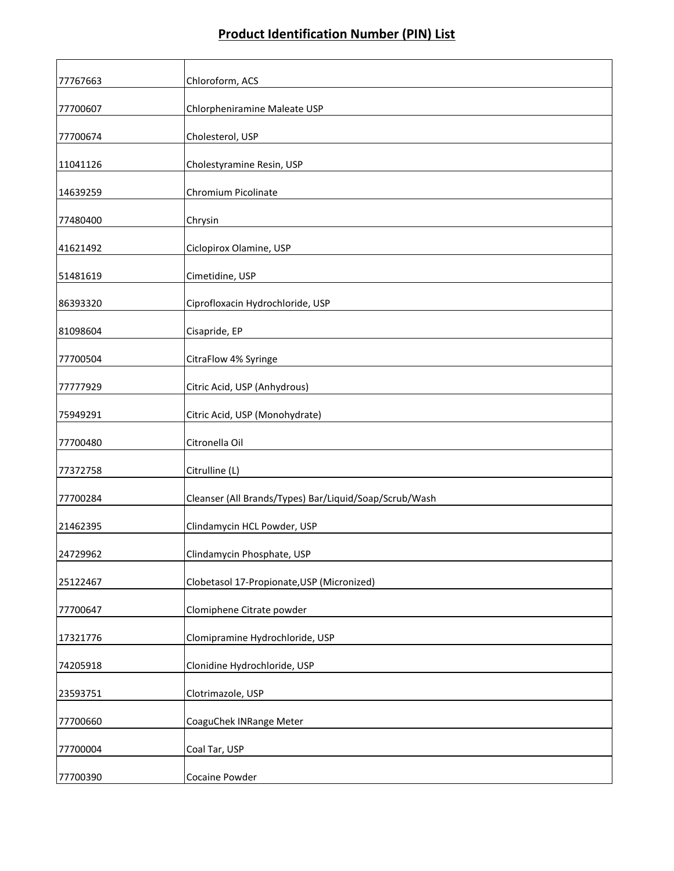| 77767663 | Chloroform, ACS                                        |
|----------|--------------------------------------------------------|
| 77700607 | Chlorpheniramine Maleate USP                           |
| 77700674 | Cholesterol, USP                                       |
| 11041126 | Cholestyramine Resin, USP                              |
| 14639259 | Chromium Picolinate                                    |
| 77480400 | Chrysin                                                |
| 41621492 | Ciclopirox Olamine, USP                                |
| 51481619 | Cimetidine, USP                                        |
| 86393320 | Ciprofloxacin Hydrochloride, USP                       |
| 81098604 | Cisapride, EP                                          |
| 77700504 | CitraFlow 4% Syringe                                   |
| 77777929 | Citric Acid, USP (Anhydrous)                           |
| 75949291 | Citric Acid, USP (Monohydrate)                         |
| 77700480 | Citronella Oil                                         |
| 77372758 | Citrulline (L)                                         |
| 77700284 | Cleanser (All Brands/Types) Bar/Liquid/Soap/Scrub/Wash |
| 21462395 | Clindamycin HCL Powder, USP                            |
| 24729962 | Clindamycin Phosphate, USP                             |
| 25122467 | Clobetasol 17-Propionate, USP (Micronized)             |
| 77700647 | Clomiphene Citrate powder                              |
| 17321776 | Clomipramine Hydrochloride, USP                        |
| 74205918 | Clonidine Hydrochloride, USP                           |
| 23593751 | Clotrimazole, USP                                      |
| 77700660 | CoaguChek INRange Meter                                |
| 77700004 | Coal Tar, USP                                          |
| 77700390 | Cocaine Powder                                         |
|          |                                                        |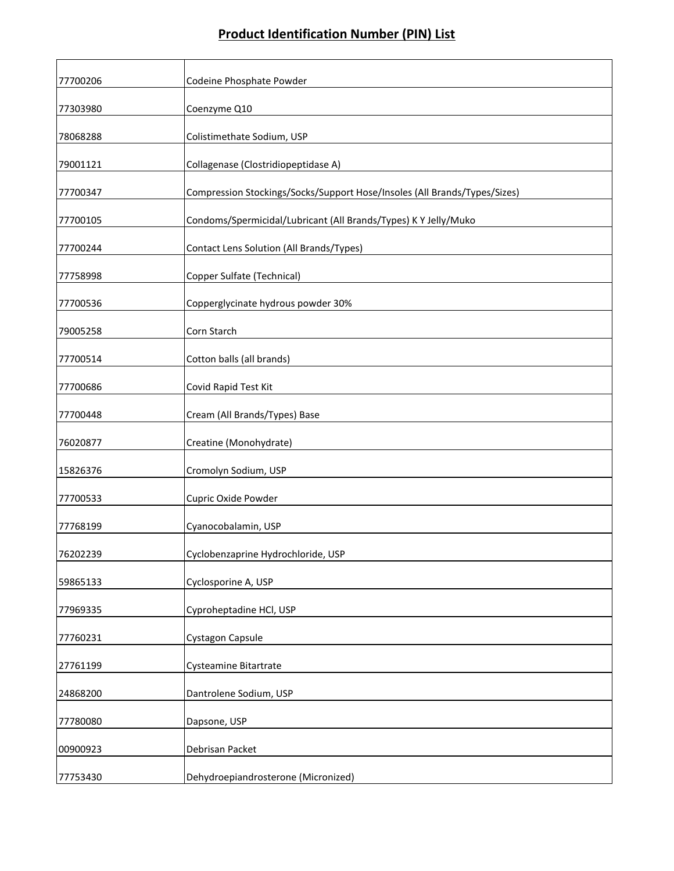| 77700206 | Codeine Phosphate Powder                                                  |
|----------|---------------------------------------------------------------------------|
| 77303980 | Coenzyme Q10                                                              |
| 78068288 | Colistimethate Sodium, USP                                                |
| 79001121 | Collagenase (Clostridiopeptidase A)                                       |
| 77700347 | Compression Stockings/Socks/Support Hose/Insoles (All Brands/Types/Sizes) |
| 77700105 | Condoms/Spermicidal/Lubricant (All Brands/Types) K Y Jelly/Muko           |
| 77700244 | Contact Lens Solution (All Brands/Types)                                  |
| 77758998 | Copper Sulfate (Technical)                                                |
| 77700536 | Copperglycinate hydrous powder 30%                                        |
| 79005258 | Corn Starch                                                               |
| 77700514 | Cotton balls (all brands)                                                 |
| 77700686 | Covid Rapid Test Kit                                                      |
| 77700448 | Cream (All Brands/Types) Base                                             |
| 76020877 | Creatine (Monohydrate)                                                    |
| 15826376 | Cromolyn Sodium, USP                                                      |
| 77700533 | Cupric Oxide Powder                                                       |
| 77768199 | Cyanocobalamin, USP                                                       |
| 76202239 | Cyclobenzaprine Hydrochloride, USP                                        |
| 59865133 | Cyclosporine A, USP                                                       |
| 77969335 | Cyproheptadine HCl, USP                                                   |
| 77760231 | Cystagon Capsule                                                          |
| 27761199 | Cysteamine Bitartrate                                                     |
| 24868200 | Dantrolene Sodium, USP                                                    |
| 77780080 | Dapsone, USP                                                              |
| 00900923 | Debrisan Packet                                                           |
| 77753430 | Dehydroepiandrosterone (Micronized)                                       |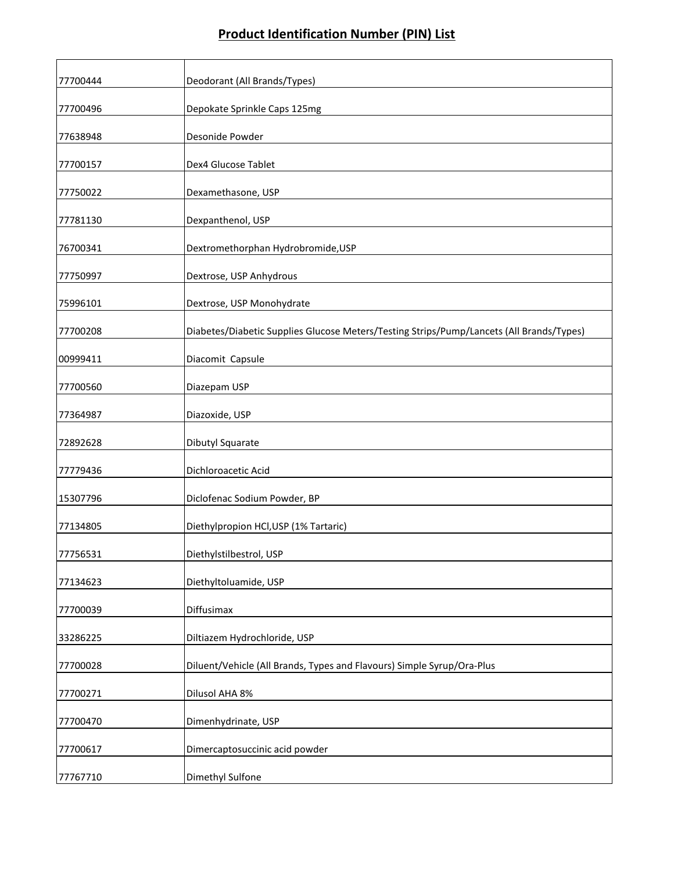| 77700444 | Deodorant (All Brands/Types)                                                             |
|----------|------------------------------------------------------------------------------------------|
| 77700496 | Depokate Sprinkle Caps 125mg                                                             |
| 77638948 | Desonide Powder                                                                          |
| 77700157 | Dex4 Glucose Tablet                                                                      |
| 77750022 | Dexamethasone, USP                                                                       |
| 77781130 | Dexpanthenol, USP                                                                        |
| 76700341 | Dextromethorphan Hydrobromide, USP                                                       |
| 77750997 | Dextrose, USP Anhydrous                                                                  |
| 75996101 | Dextrose, USP Monohydrate                                                                |
| 77700208 | Diabetes/Diabetic Supplies Glucose Meters/Testing Strips/Pump/Lancets (All Brands/Types) |
| 00999411 | Diacomit Capsule                                                                         |
| 77700560 | Diazepam USP                                                                             |
| 77364987 | Diazoxide, USP                                                                           |
| 72892628 | Dibutyl Squarate                                                                         |
| 77779436 | Dichloroacetic Acid                                                                      |
| 15307796 | Diclofenac Sodium Powder, BP                                                             |
| 77134805 | Diethylpropion HCl, USP (1% Tartaric)                                                    |
| 77756531 | Diethylstilbestrol, USP                                                                  |
| 77134623 | Diethyltoluamide, USP                                                                    |
| 77700039 | Diffusimax                                                                               |
| 33286225 | Diltiazem Hydrochloride, USP                                                             |
| 77700028 | Diluent/Vehicle (All Brands, Types and Flavours) Simple Syrup/Ora-Plus                   |
| 77700271 | <b>Dilusol AHA 8%</b>                                                                    |
| 77700470 | Dimenhydrinate, USP                                                                      |
| 77700617 | Dimercaptosuccinic acid powder                                                           |
| 77767710 | Dimethyl Sulfone                                                                         |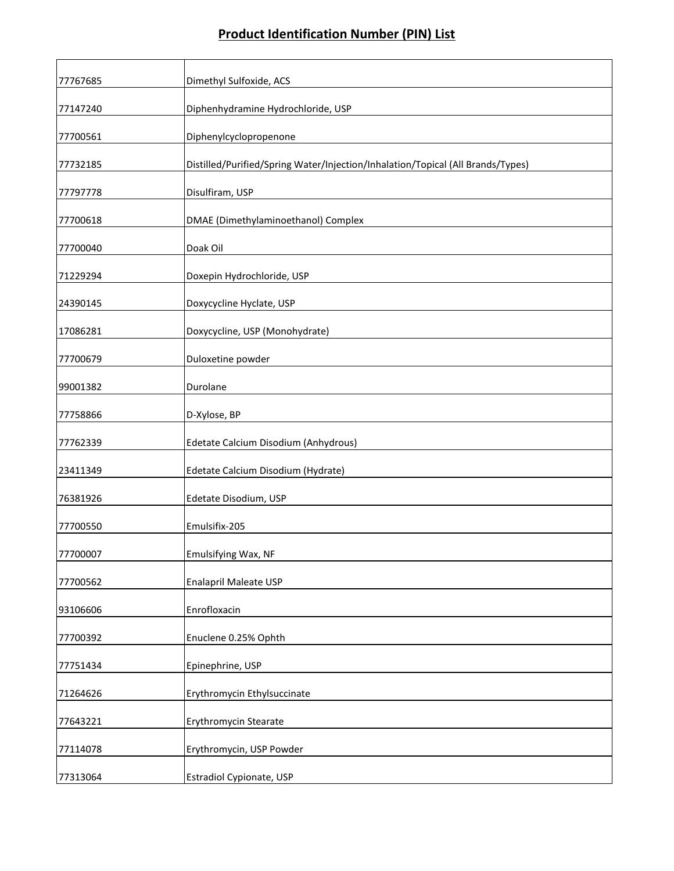| 77767685 | Dimethyl Sulfoxide, ACS                                                         |
|----------|---------------------------------------------------------------------------------|
| 77147240 | Diphenhydramine Hydrochloride, USP                                              |
| 77700561 | Diphenylcyclopropenone                                                          |
| 77732185 | Distilled/Purified/Spring Water/Injection/Inhalation/Topical (All Brands/Types) |
| 77797778 | Disulfiram, USP                                                                 |
| 77700618 | DMAE (Dimethylaminoethanol) Complex                                             |
| 77700040 | Doak Oil                                                                        |
| 71229294 | Doxepin Hydrochloride, USP                                                      |
| 24390145 | Doxycycline Hyclate, USP                                                        |
| 17086281 | Doxycycline, USP (Monohydrate)                                                  |
| 77700679 | Duloxetine powder                                                               |
| 99001382 | Durolane                                                                        |
| 77758866 | D-Xylose, BP                                                                    |
| 77762339 | Edetate Calcium Disodium (Anhydrous)                                            |
| 23411349 | Edetate Calcium Disodium (Hydrate)                                              |
| 76381926 | Edetate Disodium, USP                                                           |
| 77700550 | Emulsifix-205                                                                   |
| 77700007 | Emulsifying Wax, NF                                                             |
| 77700562 | <b>Enalapril Maleate USP</b>                                                    |
| 93106606 | Enrofloxacin                                                                    |
| 77700392 | Enuclene 0.25% Ophth                                                            |
| 77751434 | Epinephrine, USP                                                                |
| 71264626 | Erythromycin Ethylsuccinate                                                     |
| 77643221 | Erythromycin Stearate                                                           |
| 77114078 | Erythromycin, USP Powder                                                        |
| 77313064 | <b>Estradiol Cypionate, USP</b>                                                 |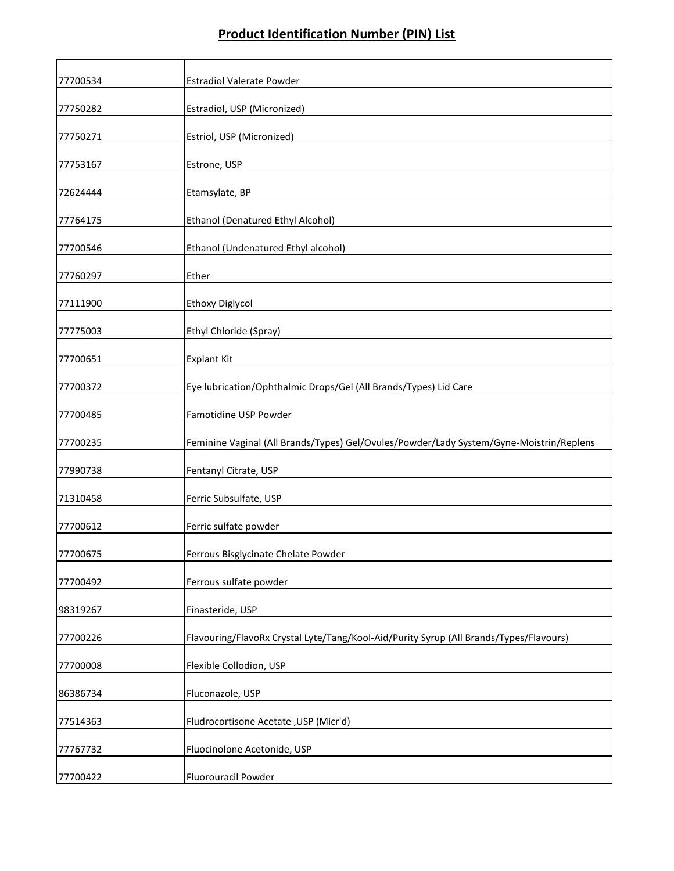| 77700534 | <b>Estradiol Valerate Powder</b>                                                        |
|----------|-----------------------------------------------------------------------------------------|
| 77750282 | Estradiol, USP (Micronized)                                                             |
| 77750271 | Estriol, USP (Micronized)                                                               |
| 77753167 | Estrone, USP                                                                            |
| 72624444 | Etamsylate, BP                                                                          |
| 77764175 | Ethanol (Denatured Ethyl Alcohol)                                                       |
| 77700546 | Ethanol (Undenatured Ethyl alcohol)                                                     |
| 77760297 | Ether                                                                                   |
| 77111900 | <b>Ethoxy Diglycol</b>                                                                  |
| 77775003 | Ethyl Chloride (Spray)                                                                  |
| 77700651 | <b>Explant Kit</b>                                                                      |
| 77700372 | Eye lubrication/Ophthalmic Drops/Gel (All Brands/Types) Lid Care                        |
| 77700485 | Famotidine USP Powder                                                                   |
| 77700235 | Feminine Vaginal (All Brands/Types) Gel/Ovules/Powder/Lady System/Gyne-Moistrin/Replens |
| 77990738 | Fentanyl Citrate, USP                                                                   |
| 71310458 | Ferric Subsulfate, USP                                                                  |
| 77700612 | Ferric sulfate powder                                                                   |
| 77700675 | Ferrous Bisglycinate Chelate Powder                                                     |
| 77700492 | Ferrous sulfate powder                                                                  |
| 98319267 | Finasteride, USP                                                                        |
| 77700226 | Flavouring/FlavoRx Crystal Lyte/Tang/Kool-Aid/Purity Syrup (All Brands/Types/Flavours)  |
| 77700008 | Flexible Collodion, USP                                                                 |
| 86386734 | Fluconazole, USP                                                                        |
| 77514363 | Fludrocortisone Acetate, USP (Micr'd)                                                   |
| 77767732 | Fluocinolone Acetonide, USP                                                             |
| 77700422 | Fluorouracil Powder                                                                     |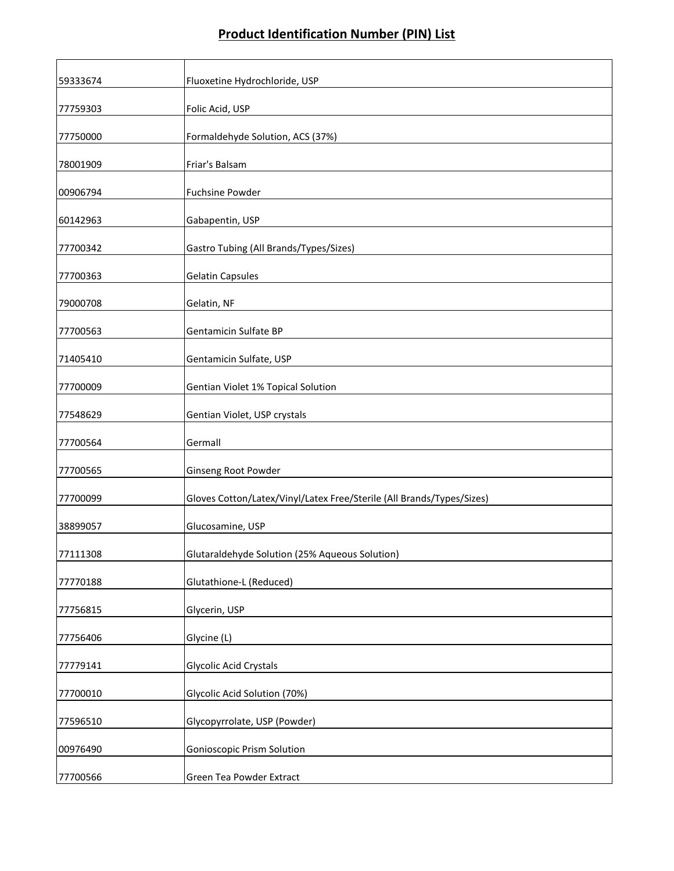| 59333674 | Fluoxetine Hydrochloride, USP                                         |
|----------|-----------------------------------------------------------------------|
| 77759303 | Folic Acid, USP                                                       |
| 77750000 | Formaldehyde Solution, ACS (37%)                                      |
| 78001909 | Friar's Balsam                                                        |
| 00906794 | Fuchsine Powder                                                       |
| 60142963 | Gabapentin, USP                                                       |
| 77700342 | Gastro Tubing (All Brands/Types/Sizes)                                |
| 77700363 | <b>Gelatin Capsules</b>                                               |
| 79000708 | Gelatin, NF                                                           |
| 77700563 | Gentamicin Sulfate BP                                                 |
| 71405410 | Gentamicin Sulfate, USP                                               |
| 77700009 | Gentian Violet 1% Topical Solution                                    |
| 77548629 | Gentian Violet, USP crystals                                          |
| 77700564 | Germall                                                               |
| 77700565 | Ginseng Root Powder                                                   |
| 77700099 | Gloves Cotton/Latex/Vinyl/Latex Free/Sterile (All Brands/Types/Sizes) |
| 38899057 | Glucosamine, USP                                                      |
| 77111308 | Glutaraldehyde Solution (25% Aqueous Solution)                        |
| 77770188 | Glutathione-L (Reduced)                                               |
| 77756815 | Glycerin, USP                                                         |
| 77756406 | Glycine (L)                                                           |
| 77779141 | <b>Glycolic Acid Crystals</b>                                         |
| 77700010 | Glycolic Acid Solution (70%)                                          |
| 77596510 | Glycopyrrolate, USP (Powder)                                          |
| 00976490 | <b>Gonioscopic Prism Solution</b>                                     |
| 77700566 | Green Tea Powder Extract                                              |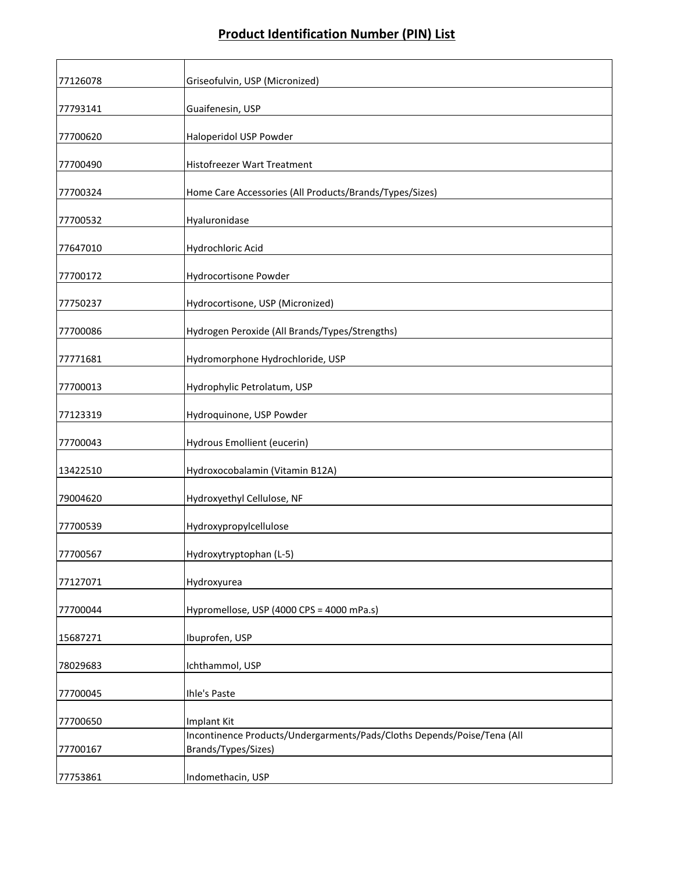| 77126078 | Griseofulvin, USP (Micronized)                                                                 |
|----------|------------------------------------------------------------------------------------------------|
| 77793141 | Guaifenesin, USP                                                                               |
| 77700620 | Haloperidol USP Powder                                                                         |
| 77700490 | Histofreezer Wart Treatment                                                                    |
| 77700324 | Home Care Accessories (All Products/Brands/Types/Sizes)                                        |
| 77700532 | Hyaluronidase                                                                                  |
| 77647010 | Hydrochloric Acid                                                                              |
| 77700172 | Hydrocortisone Powder                                                                          |
| 77750237 | Hydrocortisone, USP (Micronized)                                                               |
| 77700086 | Hydrogen Peroxide (All Brands/Types/Strengths)                                                 |
| 77771681 | Hydromorphone Hydrochloride, USP                                                               |
| 77700013 | Hydrophylic Petrolatum, USP                                                                    |
| 77123319 | Hydroquinone, USP Powder                                                                       |
| 77700043 | Hydrous Emollient (eucerin)                                                                    |
| 13422510 | Hydroxocobalamin (Vitamin B12A)                                                                |
| 79004620 | Hydroxyethyl Cellulose, NF                                                                     |
| 77700539 | Hydroxypropylcellulose                                                                         |
| 77700567 | Hydroxytryptophan (L-5)                                                                        |
| 77127071 | Hydroxyurea                                                                                    |
| 77700044 | Hypromellose, USP (4000 CPS = 4000 mPa.s)                                                      |
| 15687271 | Ibuprofen, USP                                                                                 |
| 78029683 | Ichthammol, USP                                                                                |
| 77700045 | Ihle's Paste                                                                                   |
| 77700650 | Implant Kit                                                                                    |
| 77700167 | Incontinence Products/Undergarments/Pads/Cloths Depends/Poise/Tena (All<br>Brands/Types/Sizes) |
| 77753861 | Indomethacin, USP                                                                              |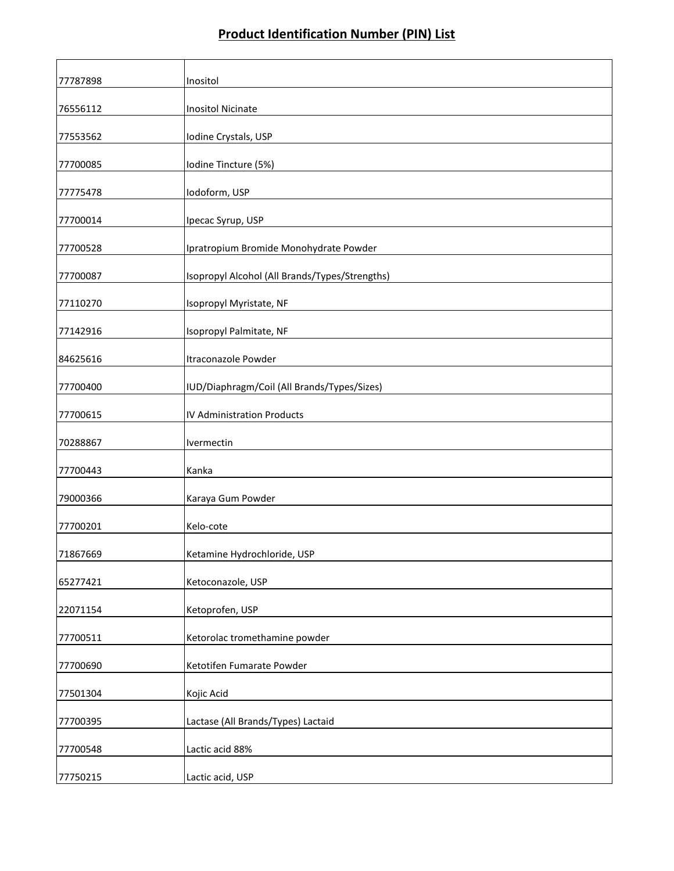| 77787898 | Inositol                                       |
|----------|------------------------------------------------|
| 76556112 | <b>Inositol Nicinate</b>                       |
| 77553562 | Iodine Crystals, USP                           |
| 77700085 | Iodine Tincture (5%)                           |
| 77775478 | Iodoform, USP                                  |
| 77700014 | Ipecac Syrup, USP                              |
| 77700528 | Ipratropium Bromide Monohydrate Powder         |
| 77700087 | Isopropyl Alcohol (All Brands/Types/Strengths) |
| 77110270 | Isopropyl Myristate, NF                        |
| 77142916 | Isopropyl Palmitate, NF                        |
| 84625616 | Itraconazole Powder                            |
| 77700400 | IUD/Diaphragm/Coil (All Brands/Types/Sizes)    |
| 77700615 | <b>IV Administration Products</b>              |
| 70288867 | Ivermectin                                     |
| 77700443 | Kanka                                          |
| 79000366 | Karaya Gum Powder                              |
| 77700201 | Kelo-cote                                      |
| 71867669 | Ketamine Hydrochloride, USP                    |
| 65277421 | Ketoconazole, USP                              |
| 22071154 | Ketoprofen, USP                                |
| 77700511 | Ketorolac tromethamine powder                  |
| 77700690 | Ketotifen Fumarate Powder                      |
| 77501304 | Kojic Acid                                     |
| 77700395 | Lactase (All Brands/Types) Lactaid             |
| 77700548 | Lactic acid 88%                                |
| 77750215 | Lactic acid, USP                               |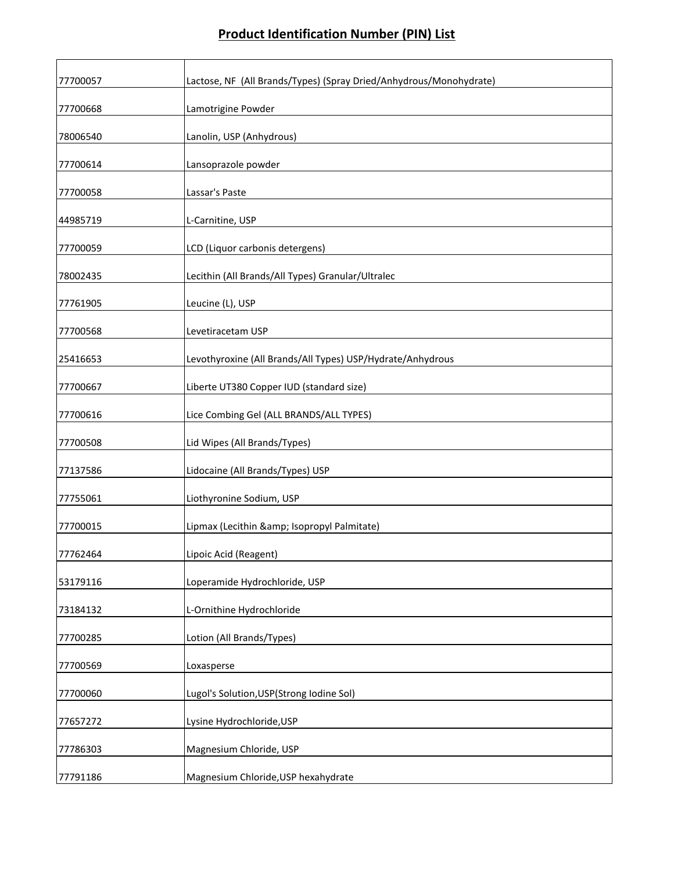| 77700057 | Lactose, NF (All Brands/Types) (Spray Dried/Anhydrous/Monohydrate) |
|----------|--------------------------------------------------------------------|
| 77700668 | Lamotrigine Powder                                                 |
| 78006540 | Lanolin, USP (Anhydrous)                                           |
| 77700614 | Lansoprazole powder                                                |
| 77700058 | Lassar's Paste                                                     |
| 44985719 | L-Carnitine, USP                                                   |
| 77700059 | LCD (Liquor carbonis detergens)                                    |
| 78002435 | Lecithin (All Brands/All Types) Granular/Ultralec                  |
| 77761905 | Leucine (L), USP                                                   |
| 77700568 | Levetiracetam USP                                                  |
| 25416653 | Levothyroxine (All Brands/All Types) USP/Hydrate/Anhydrous         |
| 77700667 | Liberte UT380 Copper IUD (standard size)                           |
| 77700616 | Lice Combing Gel (ALL BRANDS/ALL TYPES)                            |
| 77700508 | Lid Wipes (All Brands/Types)                                       |
| 77137586 | Lidocaine (All Brands/Types) USP                                   |
| 77755061 | Liothyronine Sodium, USP                                           |
| 77700015 | Lipmax (Lecithin & Isopropyl Palmitate)                            |
| 77762464 | Lipoic Acid (Reagent)                                              |
| 53179116 | Loperamide Hydrochloride, USP                                      |
| 73184132 | L-Ornithine Hydrochloride                                          |
| 77700285 | Lotion (All Brands/Types)                                          |
| 77700569 | Loxasperse                                                         |
| 77700060 | Lugol's Solution, USP(Strong Iodine Sol)                           |
| 77657272 | Lysine Hydrochloride, USP                                          |
| 77786303 | Magnesium Chloride, USP                                            |
| 77791186 | Magnesium Chloride, USP hexahydrate                                |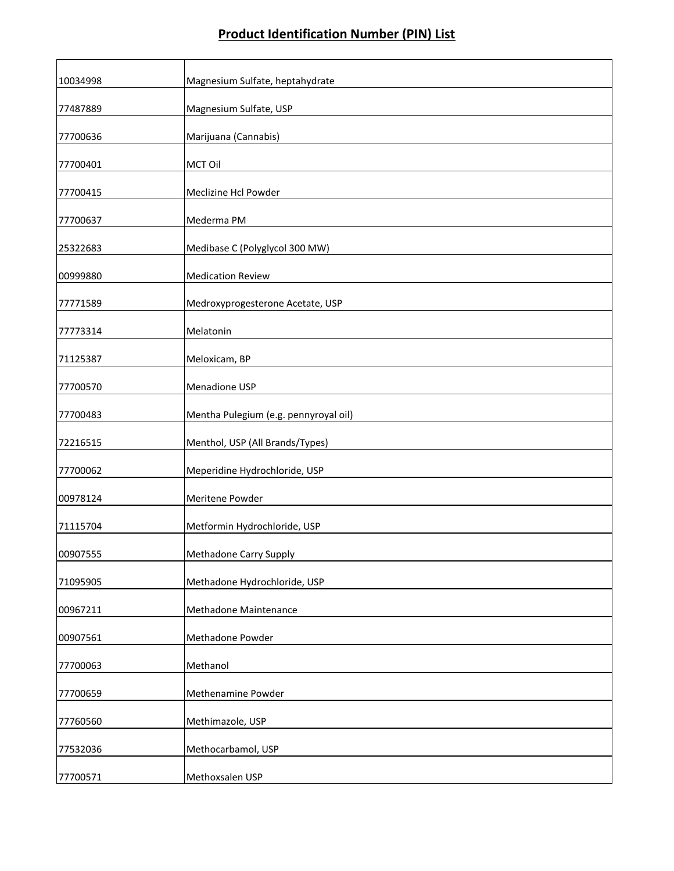| 10034998 | Magnesium Sulfate, heptahydrate       |
|----------|---------------------------------------|
| 77487889 | Magnesium Sulfate, USP                |
| 77700636 | Marijuana (Cannabis)                  |
| 77700401 | MCT Oil                               |
| 77700415 | Meclizine Hcl Powder                  |
| 77700637 | Mederma PM                            |
| 25322683 | Medibase C (Polyglycol 300 MW)        |
| 00999880 | <b>Medication Review</b>              |
| 77771589 | Medroxyprogesterone Acetate, USP      |
| 77773314 | Melatonin                             |
| 71125387 | Meloxicam, BP                         |
| 77700570 | Menadione USP                         |
| 77700483 | Mentha Pulegium (e.g. pennyroyal oil) |
| 72216515 | Menthol, USP (All Brands/Types)       |
| 77700062 | Meperidine Hydrochloride, USP         |
| 00978124 | Meritene Powder                       |
| 71115704 | Metformin Hydrochloride, USP          |
| 00907555 | Methadone Carry Supply                |
| 71095905 | Methadone Hydrochloride, USP          |
| 00967211 | Methadone Maintenance                 |
| 00907561 | Methadone Powder                      |
| 77700063 | Methanol                              |
| 77700659 | Methenamine Powder                    |
| 77760560 | Methimazole, USP                      |
| 77532036 | Methocarbamol, USP                    |
| 77700571 | Methoxsalen USP                       |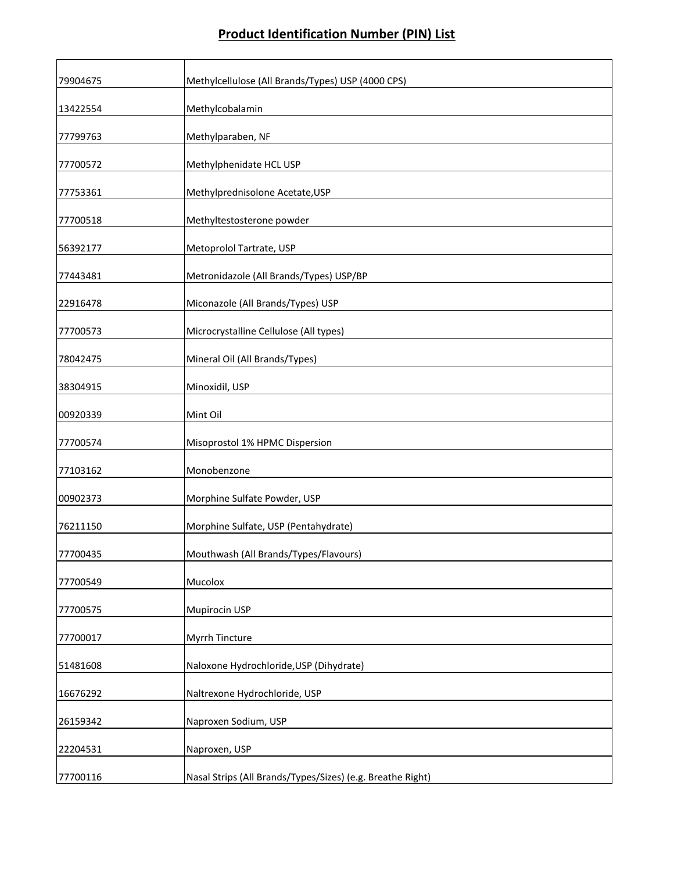| 79904675 | Methylcellulose (All Brands/Types) USP (4000 CPS)          |
|----------|------------------------------------------------------------|
| 13422554 | Methylcobalamin                                            |
| 77799763 | Methylparaben, NF                                          |
| 77700572 | Methylphenidate HCL USP                                    |
| 77753361 | Methylprednisolone Acetate, USP                            |
| 77700518 | Methyltestosterone powder                                  |
| 56392177 | Metoprolol Tartrate, USP                                   |
| 77443481 | Metronidazole (All Brands/Types) USP/BP                    |
| 22916478 | Miconazole (All Brands/Types) USP                          |
| 77700573 | Microcrystalline Cellulose (All types)                     |
| 78042475 | Mineral Oil (All Brands/Types)                             |
| 38304915 | Minoxidil, USP                                             |
| 00920339 | Mint Oil                                                   |
| 77700574 | Misoprostol 1% HPMC Dispersion                             |
| 77103162 | Monobenzone                                                |
| 00902373 | Morphine Sulfate Powder, USP                               |
| 76211150 | Morphine Sulfate, USP (Pentahydrate)                       |
| 77700435 | Mouthwash (All Brands/Types/Flavours)                      |
| 77700549 | Mucolox                                                    |
| 77700575 | Mupirocin USP                                              |
| 77700017 | Myrrh Tincture                                             |
| 51481608 | Naloxone Hydrochloride, USP (Dihydrate)                    |
| 16676292 | Naltrexone Hydrochloride, USP                              |
| 26159342 | Naproxen Sodium, USP                                       |
| 22204531 | Naproxen, USP                                              |
| 77700116 | Nasal Strips (All Brands/Types/Sizes) (e.g. Breathe Right) |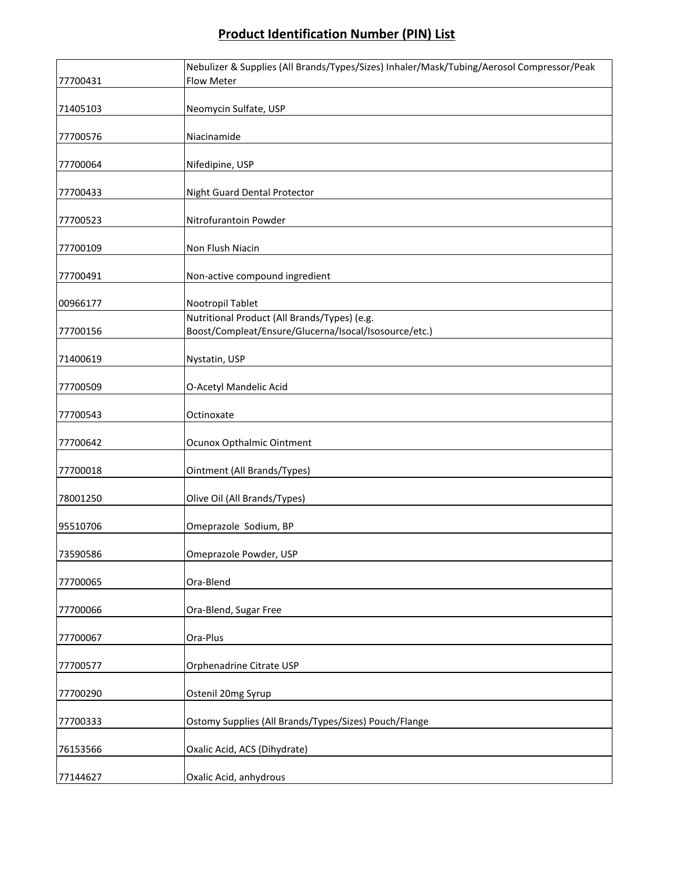|          | Nebulizer & Supplies (All Brands/Types/Sizes) Inhaler/Mask/Tubing/Aerosol Compressor/Peak |
|----------|-------------------------------------------------------------------------------------------|
| 77700431 | Flow Meter                                                                                |
| 71405103 | Neomycin Sulfate, USP                                                                     |
| 77700576 | Niacinamide                                                                               |
| 77700064 | Nifedipine, USP                                                                           |
| 77700433 | Night Guard Dental Protector                                                              |
| 77700523 | Nitrofurantoin Powder                                                                     |
| 77700109 | Non Flush Niacin                                                                          |
| 77700491 | Non-active compound ingredient                                                            |
| 00966177 | Nootropil Tablet                                                                          |
|          | Nutritional Product (All Brands/Types) (e.g.                                              |
| 77700156 | Boost/Compleat/Ensure/Glucerna/Isocal/Isosource/etc.)                                     |
| 71400619 | Nystatin, USP                                                                             |
| 77700509 | O-Acetyl Mandelic Acid                                                                    |
| 77700543 | Octinoxate                                                                                |
| 77700642 | Ocunox Opthalmic Ointment                                                                 |
| 77700018 | Ointment (All Brands/Types)                                                               |
| 78001250 | Olive Oil (All Brands/Types)                                                              |
| 95510706 | Omeprazole Sodium, BP                                                                     |
| 73590586 | Omeprazole Powder, USP                                                                    |
| 77700065 | Ora-Blend                                                                                 |
| 77700066 | Ora-Blend, Sugar Free                                                                     |
| 77700067 | Ora-Plus                                                                                  |
| 77700577 | Orphenadrine Citrate USP                                                                  |
| 77700290 | Ostenil 20mg Syrup                                                                        |
| 77700333 | Ostomy Supplies (All Brands/Types/Sizes) Pouch/Flange                                     |
| 76153566 | Oxalic Acid, ACS (Dihydrate)                                                              |
| 77144627 | Oxalic Acid, anhydrous                                                                    |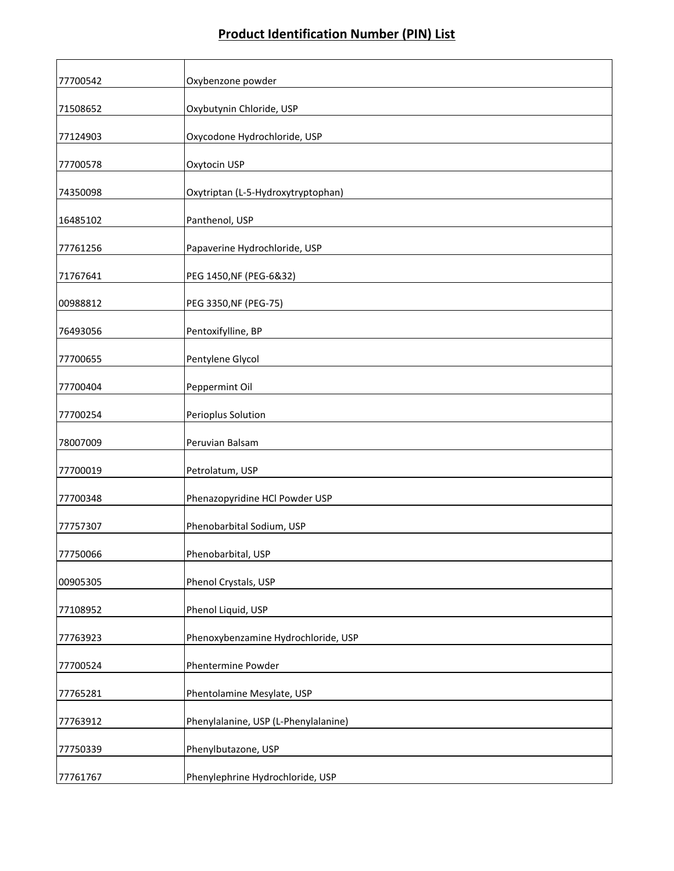| 77700542 | Oxybenzone powder                    |
|----------|--------------------------------------|
| 71508652 | Oxybutynin Chloride, USP             |
| 77124903 | Oxycodone Hydrochloride, USP         |
| 77700578 | Oxytocin USP                         |
| 74350098 | Oxytriptan (L-5-Hydroxytryptophan)   |
| 16485102 | Panthenol, USP                       |
| 77761256 | Papaverine Hydrochloride, USP        |
| 71767641 | PEG 1450, NF (PEG-6&32)              |
| 00988812 | PEG 3350, NF (PEG-75)                |
| 76493056 | Pentoxifylline, BP                   |
| 77700655 | Pentylene Glycol                     |
| 77700404 | Peppermint Oil                       |
| 77700254 | Perioplus Solution                   |
| 78007009 | Peruvian Balsam                      |
| 77700019 | Petrolatum, USP                      |
| 77700348 | Phenazopyridine HCl Powder USP       |
| 77757307 | Phenobarbital Sodium, USP            |
| 77750066 | Phenobarbital, USP                   |
| 00905305 | Phenol Crystals, USP                 |
| 77108952 | Phenol Liquid, USP                   |
| 77763923 | Phenoxybenzamine Hydrochloride, USP  |
| 77700524 | Phentermine Powder                   |
| 77765281 | Phentolamine Mesylate, USP           |
| 77763912 | Phenylalanine, USP (L-Phenylalanine) |
|          |                                      |
| 77750339 | Phenylbutazone, USP                  |
| 77761767 | Phenylephrine Hydrochloride, USP     |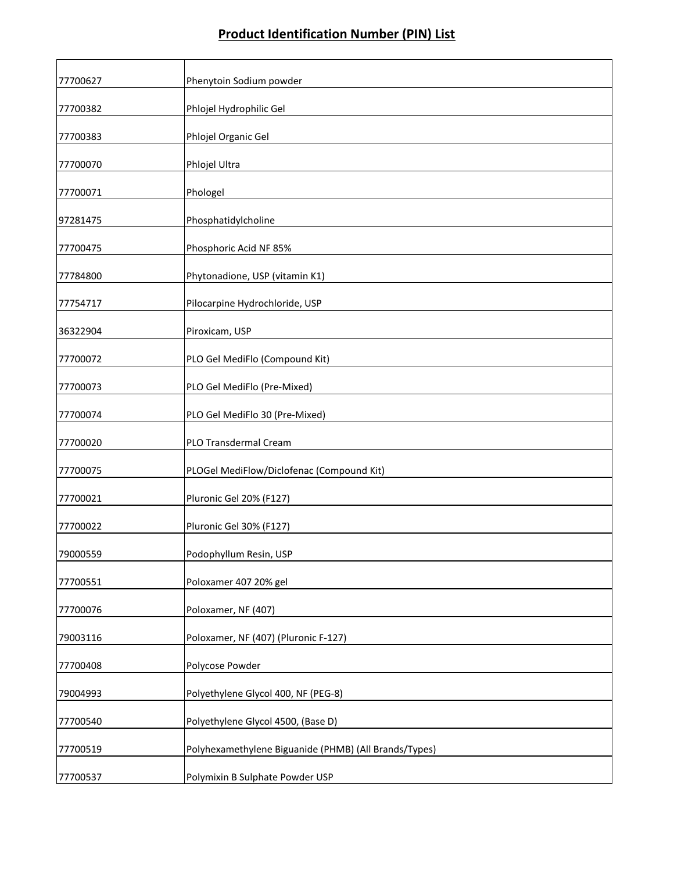| 77700627 | Phenytoin Sodium powder                               |
|----------|-------------------------------------------------------|
| 77700382 | Phlojel Hydrophilic Gel                               |
| 77700383 | Phlojel Organic Gel                                   |
| 77700070 | Phlojel Ultra                                         |
| 77700071 | Phologel                                              |
| 97281475 | Phosphatidylcholine                                   |
| 77700475 | Phosphoric Acid NF 85%                                |
| 77784800 | Phytonadione, USP (vitamin K1)                        |
| 77754717 | Pilocarpine Hydrochloride, USP                        |
| 36322904 | Piroxicam, USP                                        |
| 77700072 | PLO Gel MediFlo (Compound Kit)                        |
| 77700073 | PLO Gel MediFlo (Pre-Mixed)                           |
| 77700074 | PLO Gel MediFlo 30 (Pre-Mixed)                        |
| 77700020 | PLO Transdermal Cream                                 |
| 77700075 | PLOGel MediFlow/Diclofenac (Compound Kit)             |
| 77700021 | Pluronic Gel 20% (F127)                               |
| 77700022 | Pluronic Gel 30% (F127)                               |
| 79000559 | Podophyllum Resin, USP                                |
| 77700551 | Poloxamer 407 20% gel                                 |
| 77700076 | Poloxamer, NF (407)                                   |
| 79003116 | Poloxamer, NF (407) (Pluronic F-127)                  |
| 77700408 | Polycose Powder                                       |
| 79004993 | Polyethylene Glycol 400, NF (PEG-8)                   |
| 77700540 | Polyethylene Glycol 4500, (Base D)                    |
| 77700519 | Polyhexamethylene Biguanide (PHMB) (All Brands/Types) |
| 77700537 | Polymixin B Sulphate Powder USP                       |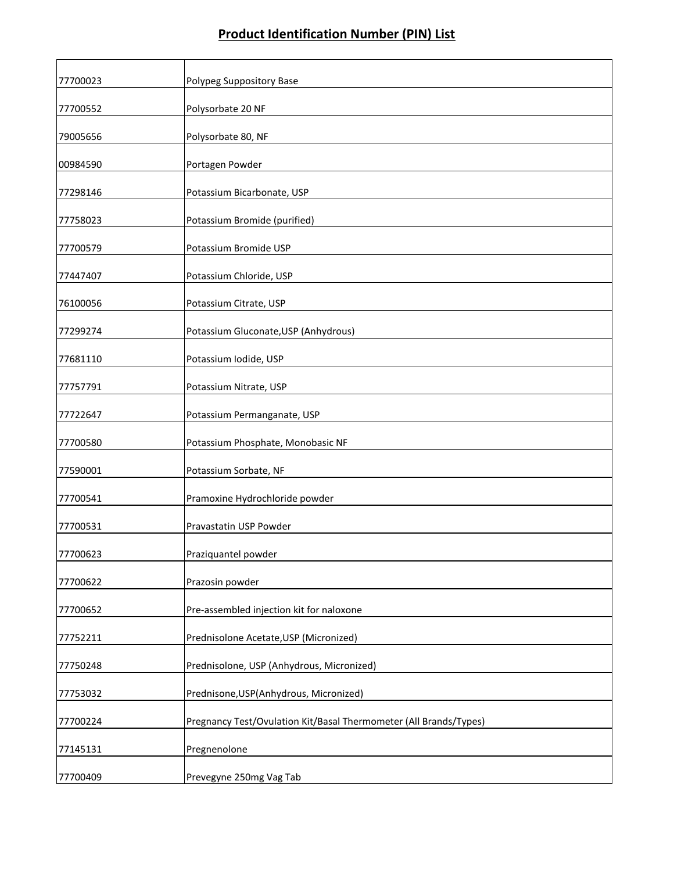| 77700023 | Polypeg Suppository Base                                          |
|----------|-------------------------------------------------------------------|
| 77700552 | Polysorbate 20 NF                                                 |
| 79005656 | Polysorbate 80, NF                                                |
| 00984590 | Portagen Powder                                                   |
| 77298146 | Potassium Bicarbonate, USP                                        |
| 77758023 | Potassium Bromide (purified)                                      |
| 77700579 | Potassium Bromide USP                                             |
| 77447407 | Potassium Chloride, USP                                           |
| 76100056 | Potassium Citrate, USP                                            |
| 77299274 | Potassium Gluconate, USP (Anhydrous)                              |
| 77681110 | Potassium Iodide, USP                                             |
| 77757791 | Potassium Nitrate, USP                                            |
| 77722647 | Potassium Permanganate, USP                                       |
| 77700580 | Potassium Phosphate, Monobasic NF                                 |
| 77590001 | Potassium Sorbate, NF                                             |
| 77700541 | Pramoxine Hydrochloride powder                                    |
| 77700531 | Pravastatin USP Powder                                            |
| 77700623 | Praziquantel powder                                               |
| 77700622 | Prazosin powder                                                   |
| 77700652 | Pre-assembled injection kit for naloxone                          |
| 77752211 | Prednisolone Acetate, USP (Micronized)                            |
| 77750248 | Prednisolone, USP (Anhydrous, Micronized)                         |
| 77753032 | Prednisone, USP(Anhydrous, Micronized)                            |
| 77700224 | Pregnancy Test/Ovulation Kit/Basal Thermometer (All Brands/Types) |
| 77145131 | Pregnenolone                                                      |
| 77700409 | Prevegyne 250mg Vag Tab                                           |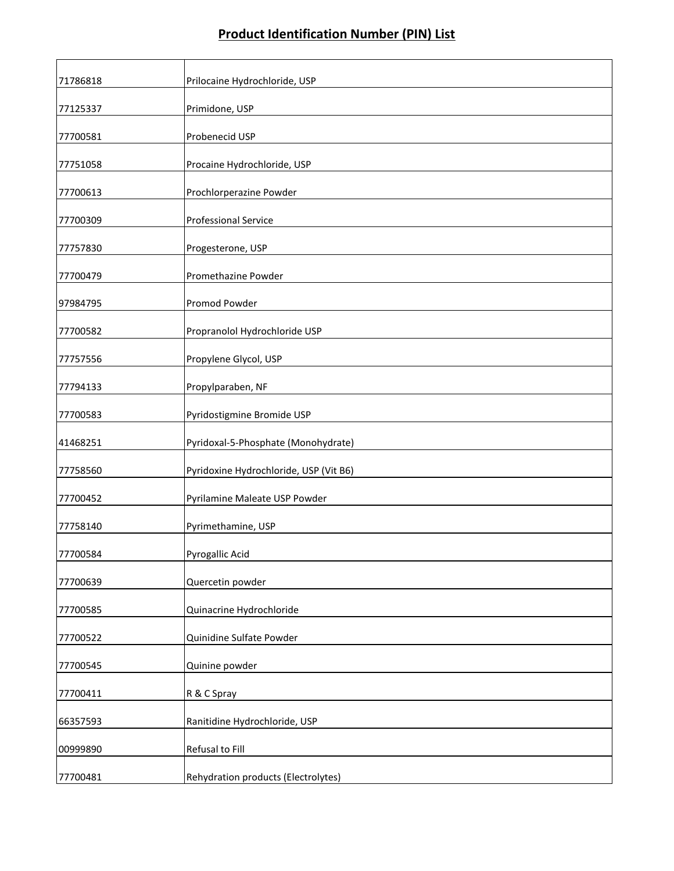| 71786818 | Prilocaine Hydrochloride, USP          |
|----------|----------------------------------------|
| 77125337 | Primidone, USP                         |
| 77700581 | Probenecid USP                         |
| 77751058 | Procaine Hydrochloride, USP            |
| 77700613 | Prochlorperazine Powder                |
| 77700309 | <b>Professional Service</b>            |
| 77757830 | Progesterone, USP                      |
| 77700479 | Promethazine Powder                    |
| 97984795 | Promod Powder                          |
| 77700582 | Propranolol Hydrochloride USP          |
| 77757556 | Propylene Glycol, USP                  |
| 77794133 | Propylparaben, NF                      |
| 77700583 | Pyridostigmine Bromide USP             |
| 41468251 | Pyridoxal-5-Phosphate (Monohydrate)    |
| 77758560 | Pyridoxine Hydrochloride, USP (Vit B6) |
| 77700452 | Pyrilamine Maleate USP Powder          |
| 77758140 | Pyrimethamine, USP                     |
| 77700584 | Pyrogallic Acid                        |
| 77700639 | Quercetin powder                       |
| 77700585 | Quinacrine Hydrochloride               |
| 77700522 | Quinidine Sulfate Powder               |
| 77700545 | Quinine powder                         |
| 77700411 | R & C Spray                            |
| 66357593 | Ranitidine Hydrochloride, USP          |
| 00999890 | Refusal to Fill                        |
| 77700481 | Rehydration products (Electrolytes)    |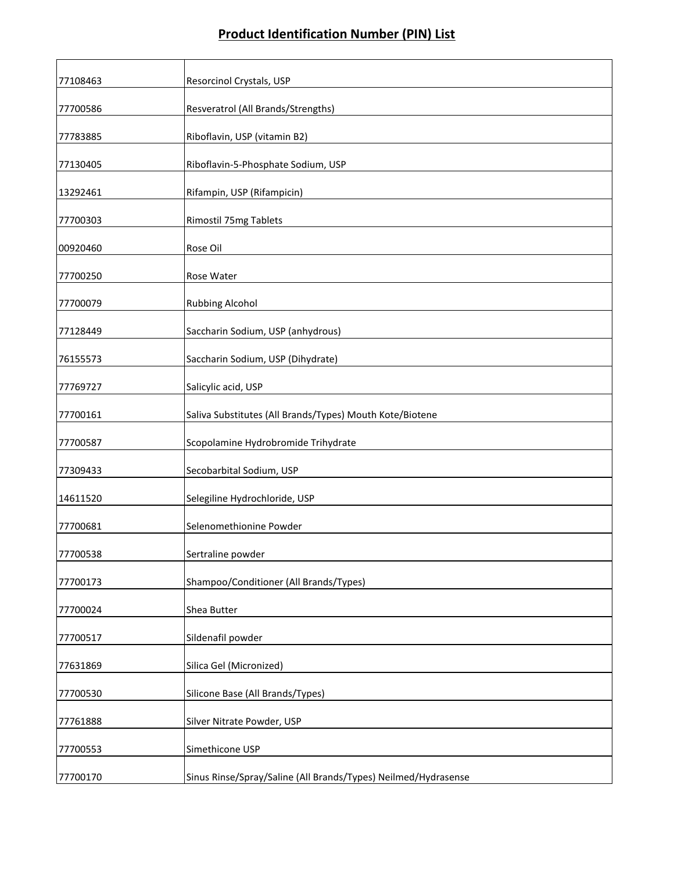| 77108463 | Resorcinol Crystals, USP                                       |
|----------|----------------------------------------------------------------|
| 77700586 | Resveratrol (All Brands/Strengths)                             |
| 77783885 | Riboflavin, USP (vitamin B2)                                   |
| 77130405 | Riboflavin-5-Phosphate Sodium, USP                             |
| 13292461 | Rifampin, USP (Rifampicin)                                     |
| 77700303 | Rimostil 75mg Tablets                                          |
| 00920460 | Rose Oil                                                       |
| 77700250 | Rose Water                                                     |
| 77700079 | Rubbing Alcohol                                                |
| 77128449 | Saccharin Sodium, USP (anhydrous)                              |
| 76155573 | Saccharin Sodium, USP (Dihydrate)                              |
| 77769727 | Salicylic acid, USP                                            |
| 77700161 | Saliva Substitutes (All Brands/Types) Mouth Kote/Biotene       |
| 77700587 | Scopolamine Hydrobromide Trihydrate                            |
| 77309433 | Secobarbital Sodium, USP                                       |
| 14611520 | Selegiline Hydrochloride, USP                                  |
| 77700681 | Selenomethionine Powder                                        |
| 77700538 | Sertraline powder                                              |
| 77700173 | Shampoo/Conditioner (All Brands/Types)                         |
| 77700024 | Shea Butter                                                    |
| 77700517 | Sildenafil powder                                              |
| 77631869 | Silica Gel (Micronized)                                        |
| 77700530 | Silicone Base (All Brands/Types)                               |
| 77761888 | Silver Nitrate Powder, USP                                     |
| 77700553 | Simethicone USP                                                |
| 77700170 | Sinus Rinse/Spray/Saline (All Brands/Types) Neilmed/Hydrasense |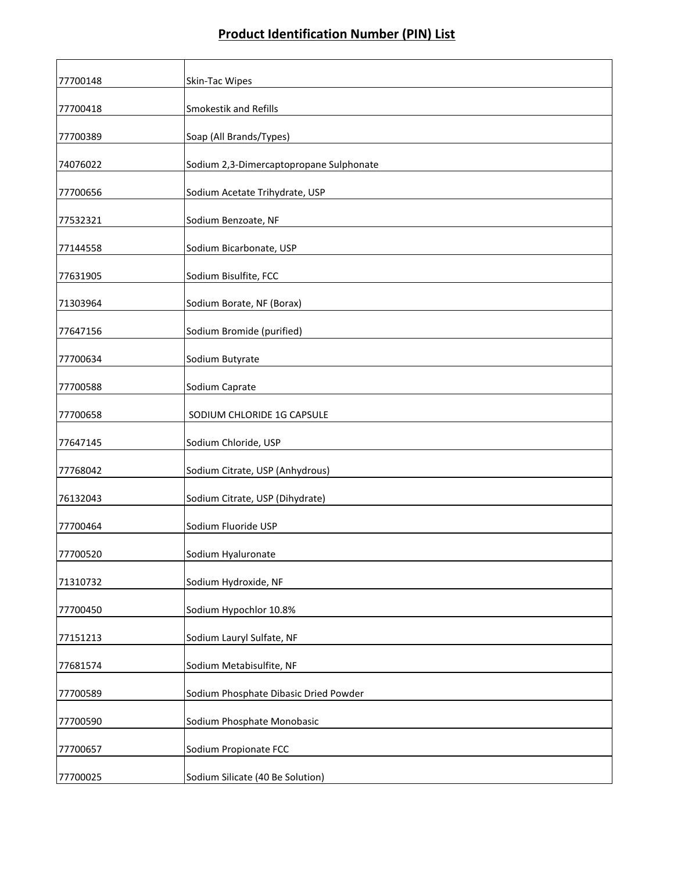| 77700148 | Skin-Tac Wipes                          |
|----------|-----------------------------------------|
| 77700418 | Smokestik and Refills                   |
| 77700389 | Soap (All Brands/Types)                 |
| 74076022 | Sodium 2,3-Dimercaptopropane Sulphonate |
| 77700656 | Sodium Acetate Trihydrate, USP          |
| 77532321 | Sodium Benzoate, NF                     |
| 77144558 | Sodium Bicarbonate, USP                 |
| 77631905 | Sodium Bisulfite, FCC                   |
| 71303964 | Sodium Borate, NF (Borax)               |
| 77647156 | Sodium Bromide (purified)               |
| 77700634 | Sodium Butyrate                         |
| 77700588 | Sodium Caprate                          |
| 77700658 | SODIUM CHLORIDE 1G CAPSULE              |
| 77647145 | Sodium Chloride, USP                    |
| 77768042 | Sodium Citrate, USP (Anhydrous)         |
| 76132043 | Sodium Citrate, USP (Dihydrate)         |
| 77700464 | Sodium Fluoride USP                     |
| 77700520 | Sodium Hyaluronate                      |
| 71310732 | Sodium Hydroxide, NF                    |
| 77700450 | Sodium Hypochlor 10.8%                  |
| 77151213 | Sodium Lauryl Sulfate, NF               |
| 77681574 | Sodium Metabisulfite, NF                |
| 77700589 | Sodium Phosphate Dibasic Dried Powder   |
| 77700590 | Sodium Phosphate Monobasic              |
| 77700657 | Sodium Propionate FCC                   |
| 77700025 | Sodium Silicate (40 Be Solution)        |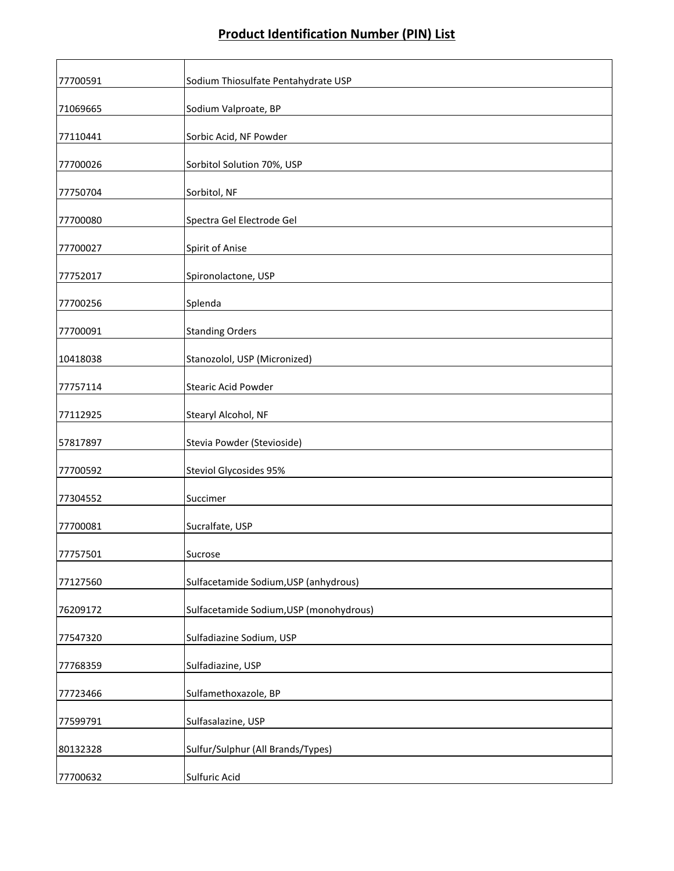| 77700591 | Sodium Thiosulfate Pentahydrate USP     |
|----------|-----------------------------------------|
| 71069665 | Sodium Valproate, BP                    |
| 77110441 | Sorbic Acid, NF Powder                  |
| 77700026 | Sorbitol Solution 70%, USP              |
| 77750704 | Sorbitol, NF                            |
| 77700080 | Spectra Gel Electrode Gel               |
| 77700027 | Spirit of Anise                         |
| 77752017 | Spironolactone, USP                     |
| 77700256 | Splenda                                 |
| 77700091 | <b>Standing Orders</b>                  |
| 10418038 | Stanozolol, USP (Micronized)            |
| 77757114 | <b>Stearic Acid Powder</b>              |
| 77112925 | Stearyl Alcohol, NF                     |
| 57817897 | Stevia Powder (Stevioside)              |
| 77700592 | <b>Steviol Glycosides 95%</b>           |
| 77304552 | Succimer                                |
| 77700081 | Sucralfate, USP                         |
| 77757501 | Sucrose                                 |
| 77127560 | Sulfacetamide Sodium, USP (anhydrous)   |
| 76209172 | Sulfacetamide Sodium, USP (monohydrous) |
| 77547320 | Sulfadiazine Sodium, USP                |
| 77768359 | Sulfadiazine, USP                       |
| 77723466 | Sulfamethoxazole, BP                    |
| 77599791 | Sulfasalazine, USP                      |
| 80132328 | Sulfur/Sulphur (All Brands/Types)       |
| 77700632 | Sulfuric Acid                           |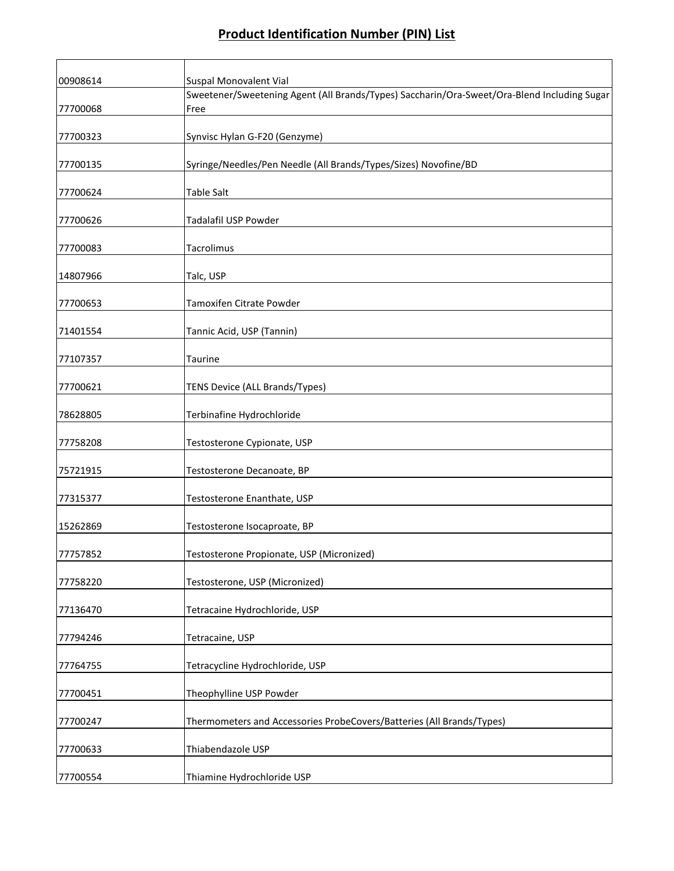┑

Г

┱

| 00908614 | Suspal Monovalent Vial                                                                              |
|----------|-----------------------------------------------------------------------------------------------------|
| 77700068 | Sweetener/Sweetening Agent (All Brands/Types) Saccharin/Ora-Sweet/Ora-Blend Including Sugar<br>Free |
| 77700323 | Synvisc Hylan G-F20 (Genzyme)                                                                       |
| 77700135 | Syringe/Needles/Pen Needle (All Brands/Types/Sizes) Novofine/BD                                     |
| 77700624 | Table Salt                                                                                          |
| 77700626 | Tadalafil USP Powder                                                                                |
| 77700083 | Tacrolimus                                                                                          |
| 14807966 | Talc, USP                                                                                           |
| 77700653 | Tamoxifen Citrate Powder                                                                            |
| 71401554 | Tannic Acid, USP (Tannin)                                                                           |
| 77107357 | Taurine                                                                                             |
| 77700621 | TENS Device (ALL Brands/Types)                                                                      |
| 78628805 | Terbinafine Hydrochloride                                                                           |
| 77758208 | Testosterone Cypionate, USP                                                                         |
| 75721915 | Testosterone Decanoate, BP                                                                          |
| 77315377 | Testosterone Enanthate, USP                                                                         |
| 15262869 | Testosterone Isocaproate, BP                                                                        |
| 77757852 | Testosterone Propionate, USP (Micronized)                                                           |
| 77758220 | Testosterone, USP (Micronized)                                                                      |
| 77136470 | Tetracaine Hydrochloride, USP                                                                       |
| 77794246 | Tetracaine, USP                                                                                     |
| 77764755 | Tetracycline Hydrochloride, USP                                                                     |
| 77700451 | Theophylline USP Powder                                                                             |
| 77700247 | Thermometers and Accessories ProbeCovers/Batteries (All Brands/Types)                               |
| 77700633 | Thiabendazole USP                                                                                   |
| 77700554 | Thiamine Hydrochloride USP                                                                          |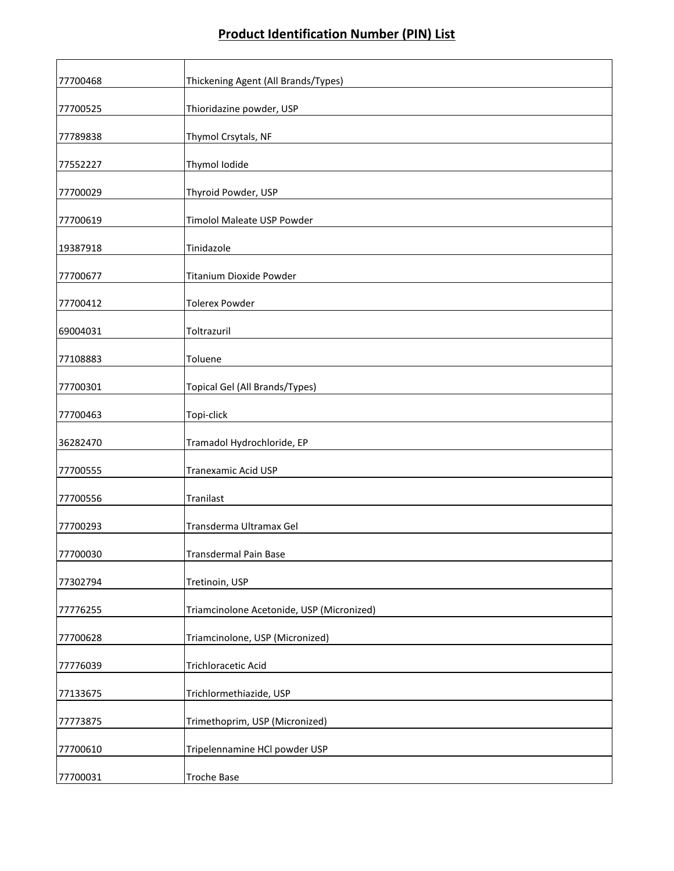| 77700468 | Thickening Agent (All Brands/Types)       |
|----------|-------------------------------------------|
| 77700525 | Thioridazine powder, USP                  |
| 77789838 | Thymol Crsytals, NF                       |
| 77552227 | Thymol Iodide                             |
| 77700029 | Thyroid Powder, USP                       |
| 77700619 | <b>Timolol Maleate USP Powder</b>         |
| 19387918 | Tinidazole                                |
| 77700677 | Titanium Dioxide Powder                   |
| 77700412 | <b>Tolerex Powder</b>                     |
| 69004031 | Toltrazuril                               |
| 77108883 | Toluene                                   |
| 77700301 | Topical Gel (All Brands/Types)            |
| 77700463 | Topi-click                                |
| 36282470 | Tramadol Hydrochloride, EP                |
| 77700555 | <b>Tranexamic Acid USP</b>                |
| 77700556 | Tranilast                                 |
| 77700293 | Transderma Ultramax Gel                   |
| 77700030 | <b>Transdermal Pain Base</b>              |
| 77302794 | Tretinoin, USP                            |
| 77776255 | Triamcinolone Acetonide, USP (Micronized) |
| 77700628 | Triamcinolone, USP (Micronized)           |
| 77776039 | Trichloracetic Acid                       |
| 77133675 | Trichlormethiazide, USP                   |
| 77773875 | Trimethoprim, USP (Micronized)            |
| 77700610 | Tripelennamine HCl powder USP             |
| 77700031 | <b>Troche Base</b>                        |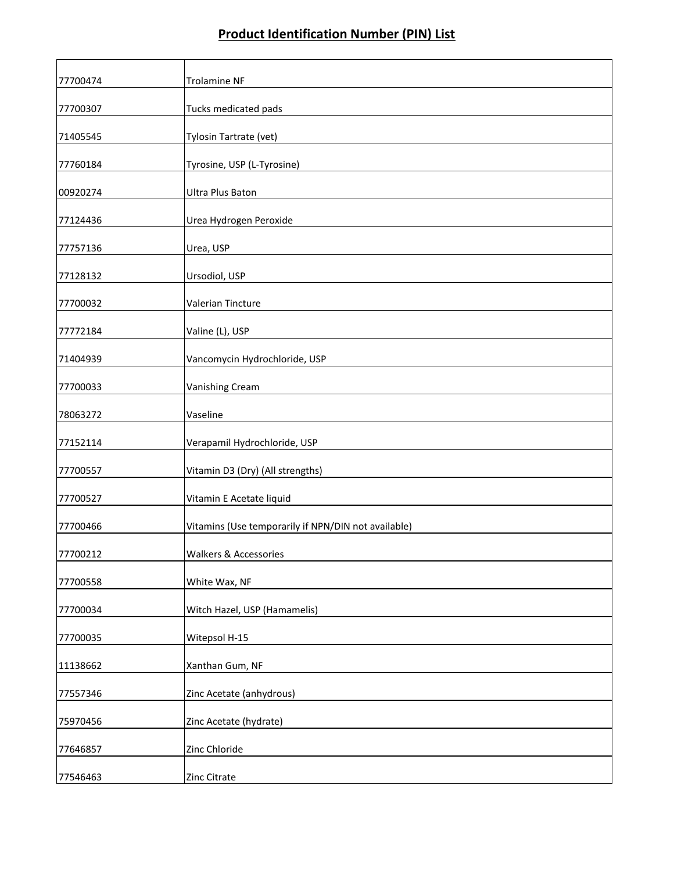| 77700474 | <b>Trolamine NF</b>                                 |
|----------|-----------------------------------------------------|
| 77700307 | Tucks medicated pads                                |
| 71405545 | Tylosin Tartrate (vet)                              |
| 77760184 | Tyrosine, USP (L-Tyrosine)                          |
| 00920274 | Ultra Plus Baton                                    |
| 77124436 | Urea Hydrogen Peroxide                              |
| 77757136 | Urea, USP                                           |
| 77128132 | Ursodiol, USP                                       |
| 77700032 | Valerian Tincture                                   |
| 77772184 | Valine (L), USP                                     |
| 71404939 | Vancomycin Hydrochloride, USP                       |
| 77700033 | Vanishing Cream                                     |
| 78063272 | Vaseline                                            |
| 77152114 | Verapamil Hydrochloride, USP                        |
| 77700557 | Vitamin D3 (Dry) (All strengths)                    |
| 77700527 | Vitamin E Acetate liquid                            |
| 77700466 | Vitamins (Use temporarily if NPN/DIN not available) |
| 77700212 | Walkers & Accessories                               |
| 77700558 | White Wax, NF                                       |
| 77700034 | Witch Hazel, USP (Hamamelis)                        |
| 77700035 | Witepsol H-15                                       |
| 11138662 | Xanthan Gum, NF                                     |
| 77557346 | Zinc Acetate (anhydrous)                            |
| 75970456 | Zinc Acetate (hydrate)                              |
| 77646857 | Zinc Chloride                                       |
| 77546463 | Zinc Citrate                                        |